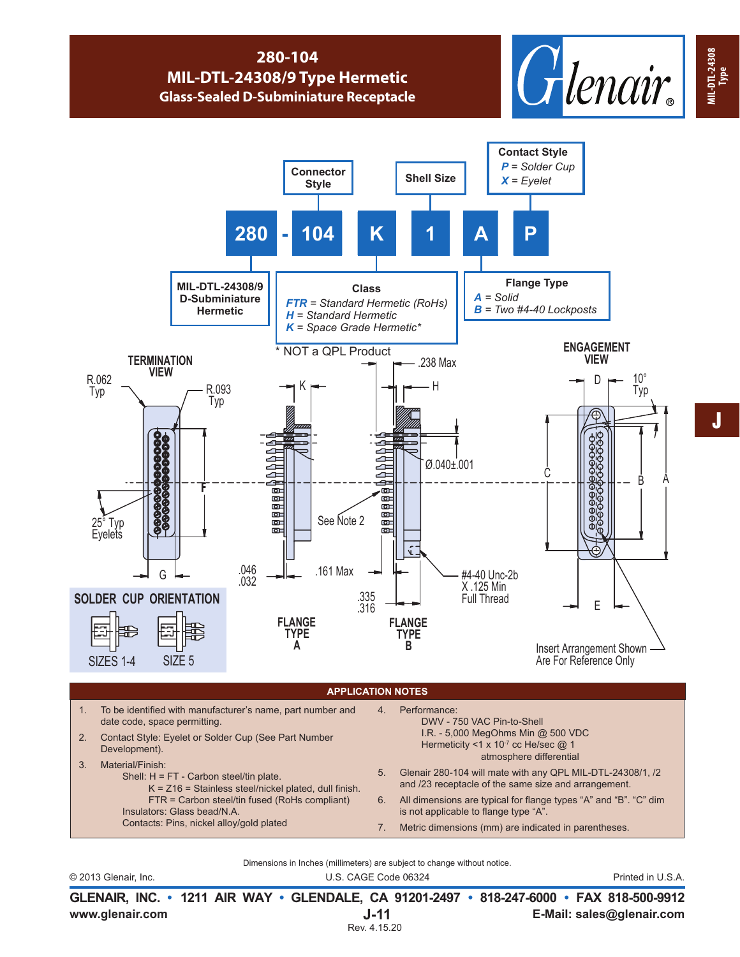## **280-104 MIL-DTL-24308/9 Type Hermetic Glass-Sealed D-Subminiature Receptacle**





Dimensions in Inches (millimeters) are subject to change without notice.

© 2013 Glenair, Inc. U.S. CAGE Code 06324 Printed in U.S.A.

**www.glenair.com E-Mail: sales@glenair.com GLENAIR, INC. • 1211 AIR WAY • GLENDALE, CA 91201-2497 • 818-247-6000 • FAX 818-500-9912 J-11** Rev. 4.15.20

**MIL-DTL-24308**

**MIL-DTL-24308 MIL-DTL-24308**